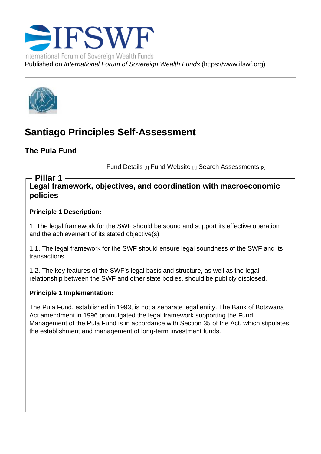# Santiago Principles Self-Assessment

The Pula Fund

Fund Details [1] Fund Website [2] Search Assessments [3]

Legal framework, objectives, and coordination with macroeconomic policies Pillar 1

Principle 1 Description:

1. The legal framework for the SWF should be sound and support its effective operation and the achievement of its stated objective(s).

1.1. The legal framework for the SWF should ensure legal soundness of the SWF and its transactions.

1.2. The key features of the SWF's legal basis and structure, as well as the legal relationship between the SWF and other state bodies, should be publicly disclosed.

Principle 1 Implementation:

The Pula Fund, established in 1993, is not a separate legal entity. The Bank of Botswana Act amendment in 1996 promulgated the legal framework supporting the Fund. Management of the Pula Fund is in accordance with Section 35 of the Act, which stipulates the establishment and management of long-term investment funds.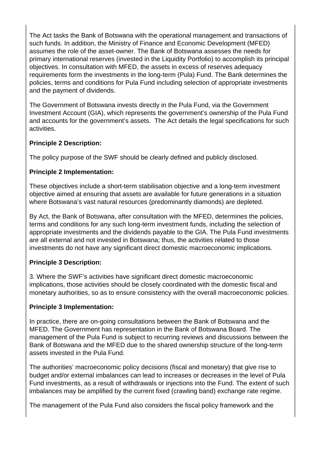The Act tasks the Bank of Botswana with the operational management and transactions of such funds. In addition, the Ministry of Finance and Economic Development (MFED) assumes the role of the asset-owner. The Bank of Botswana assesses the needs for primary international reserves (invested in the Liquidity Portfolio) to accomplish its principal objectives. In consultation with MFED, the assets in excess of reserves adequacy requirements form the investments in the long-term (Pula) Fund. The Bank determines the policies, terms and conditions for Pula Fund including selection of appropriate investments and the payment of dividends.

The Government of Botswana invests directly in the Pula Fund, via the Government Investment Account (GIA), which represents the government's ownership of the Pula Fund and accounts for the government's assets. The Act details the legal specifications for such activities.

### **Principle 2 Description:**

The policy purpose of the SWF should be clearly defined and publicly disclosed.

# **Principle 2 Implementation:**

These objectives include a short-term stabilisation objective and a long-term investment objective aimed at ensuring that assets are available for future generations in a situation where Botswana's vast natural resources (predominantly diamonds) are depleted.

By Act, the Bank of Botswana, after consultation with the MFED, determines the policies, terms and conditions for any such long-term investment funds, including the selection of appropriate investments and the dividends payable to the GIA. The Pula Fund investments are all external and not invested in Botswana; thus, the activities related to those investments do not have any significant direct domestic macroeconomic implications.

# **Principle 3 Description:**

3. Where the SWF's activities have significant direct domestic macroeconomic implications, those activities should be closely coordinated with the domestic fiscal and monetary authorities, so as to ensure consistency with the overall macroeconomic policies.

#### **Principle 3 Implementation:**

In practice, there are on-going consultations between the Bank of Botswana and the MFED. The Government has representation in the Bank of Botswana Board. The management of the Pula Fund is subject to recurring reviews and discussions between the Bank of Botswana and the MFED due to the shared ownership structure of the long-term assets invested in the Pula Fund.

The authorities' macroeconomic policy decisions (fiscal and monetary) that give rise to budget and/or external imbalances can lead to increases or decreases in the level of Pula Fund investments, as a result of withdrawals or injections into the Fund. The extent of such imbalances may be amplified by the current fixed (crawling band) exchange rate regime.

The management of the Pula Fund also considers the fiscal policy framework and the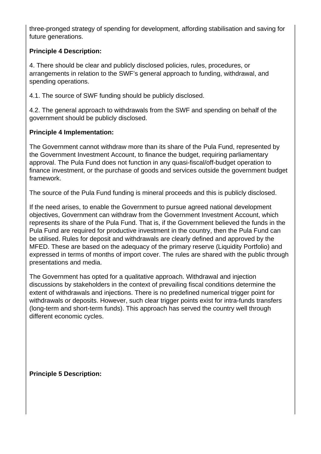three-pronged strategy of spending for development, affording stabilisation and saving for future generations.

# **Principle 4 Description:**

4. There should be clear and publicly disclosed policies, rules, procedures, or arrangements in relation to the SWF's general approach to funding, withdrawal, and spending operations.

4.1. The source of SWF funding should be publicly disclosed.

4.2. The general approach to withdrawals from the SWF and spending on behalf of the government should be publicly disclosed.

### **Principle 4 Implementation:**

The Government cannot withdraw more than its share of the Pula Fund, represented by the Government Investment Account, to finance the budget, requiring parliamentary approval. The Pula Fund does not function in any quasi-fiscal/off-budget operation to finance investment, or the purchase of goods and services outside the government budget framework.

The source of the Pula Fund funding is mineral proceeds and this is publicly disclosed.

If the need arises, to enable the Government to pursue agreed national development objectives, Government can withdraw from the Government Investment Account, which represents its share of the Pula Fund. That is, if the Government believed the funds in the Pula Fund are required for productive investment in the country, then the Pula Fund can be utilised. Rules for deposit and withdrawals are clearly defined and approved by the MFED. These are based on the adequacy of the primary reserve (Liquidity Portfolio) and expressed in terms of months of import cover. The rules are shared with the public through presentations and media.

The Government has opted for a qualitative approach. Withdrawal and injection discussions by stakeholders in the context of prevailing fiscal conditions determine the extent of withdrawals and injections. There is no predefined numerical trigger point for withdrawals or deposits. However, such clear trigger points exist for intra-funds transfers (long-term and short-term funds). This approach has served the country well through different economic cycles.

**Principle 5 Description:**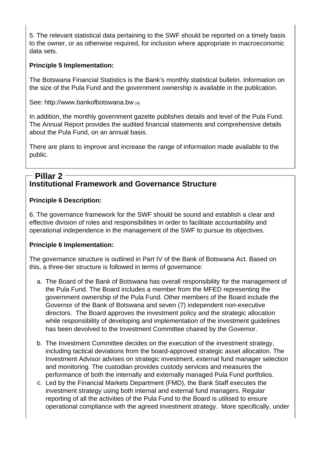5. The relevant statistical data pertaining to the SWF should be reported on a timely basis to the owner, or as otherwise required, for inclusion where appropriate in macroeconomic data sets.

Principle 5 Implementation:

The Botswana Financial Statistics is the Bank's monthly statistical bulletin. Information on the size of the Pula Fund and the government ownership is available in the publication.

See: http://www.bankofbotswana.bw [4]

In addition, the monthly government gazette publishes details and level of the Pula Fund. The Annual Report provides the audited financial statements and comprehensive details [about the Pula Fund, on an annual b](http://www.bankofbotswana.bw/)asis.

There are plans to improve and increase the range of information made available to the public.

# Institutional Framework and Governance Structure Pillar 2

Principle 6 Description:

6. The governance framework for the SWF should be sound and establish a clear and effective division of roles and responsibilities in order to facilitate accountability and operational independence in the management of the SWF to pursue its objectives.

Principle 6 Implementation:

The governance structure is outlined in Part IV of the Bank of Botswana Act. Based on this, a three-tier structure is followed in terms of governance:

- a. The Board of the Bank of Botswana has overall responsibility for the management of the Pula Fund. The Board includes a member from the MFED representing the government ownership of the Pula Fund. Other members of the Board include the Governor of the Bank of Botswana and seven (7) independent non-executive directors. The Board approves the investment policy and the strategic allocation while responsibility of developing and implementation of the investment guidelines has been devolved to the Investment Committee chaired by the Governor.
- b. The Investment Committee decides on the execution of the investment strategy, including tactical deviations from the board-approved strategic asset allocation. The Investment Advisor advises on strategic investment, external fund manager selection and monitoring. The custodian provides custody services and measures the performance of both the internally and externally managed Pula Fund portfolios.
- c. Led by the Financial Markets Department (FMD), the Bank Staff executes the investment strategy using both internal and external fund managers. Regular reporting of all the activities of the Pula Fund to the Board is utilised to ensure operational compliance with the agreed investment strategy. More specifically, under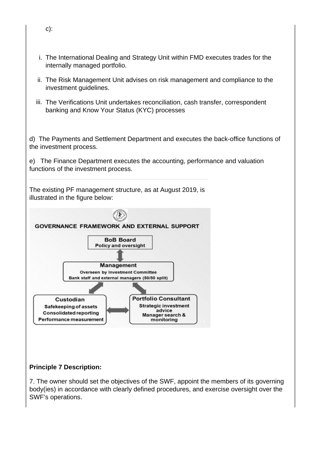- i. The International Dealing and Strategy Unit within FMD executes trades for the internally managed portfolio.
- ii. The Risk Management Unit advises on risk management and compliance to the investment guidelines.
- iii. The Verifications Unit undertakes reconciliation, cash transfer, correspondent banking and Know Your Status (KYC) processes

d) The Payments and Settlement Department and executes the back-office functions of the investment process.

e) The Finance Department executes the accounting, performance and valuation functions of the investment process.

The existing PF management structure, as at August 2019, is illustrated in the figure below:



#### **Principle 7 Description:**

7. The owner should set the objectives of the SWF, appoint the members of its governing body(ies) in accordance with clearly defined procedures, and exercise oversight over the SWF's operations.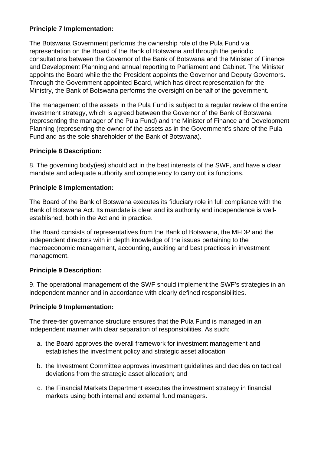## **Principle 7 Implementation:**

The Botswana Government performs the ownership role of the Pula Fund via representation on the Board of the Bank of Botswana and through the periodic consultations between the Governor of the Bank of Botswana and the Minister of Finance and Development Planning and annual reporting to Parliament and Cabinet. The Minister appoints the Board while the the President appoints the Governor and Deputy Governors. Through the Government appointed Board, which has direct representation for the Ministry, the Bank of Botswana performs the oversight on behalf of the government.

The management of the assets in the Pula Fund is subject to a regular review of the entire investment strategy, which is agreed between the Governor of the Bank of Botswana (representing the manager of the Pula Fund) and the Minister of Finance and Development Planning (representing the owner of the assets as in the Government's share of the Pula Fund and as the sole shareholder of the Bank of Botswana).

#### **Principle 8 Description:**

8. The governing body(ies) should act in the best interests of the SWF, and have a clear mandate and adequate authority and competency to carry out its functions.

### **Principle 8 Implementation:**

The Board of the Bank of Botswana executes its fiduciary role in full compliance with the Bank of Botswana Act. Its mandate is clear and its authority and independence is wellestablished, both in the Act and in practice.

The Board consists of representatives from the Bank of Botswana, the MFDP and the independent directors with in depth knowledge of the issues pertaining to the macroeconomic management, accounting, auditing and best practices in investment management.

#### **Principle 9 Description:**

9. The operational management of the SWF should implement the SWF's strategies in an independent manner and in accordance with clearly defined responsibilities.

#### **Principle 9 Implementation:**

The three-tier governance structure ensures that the Pula Fund is managed in an independent manner with clear separation of responsibilities. As such:

- a. the Board approves the overall framework for investment management and establishes the investment policy and strategic asset allocation
- b. the Investment Committee approves investment guidelines and decides on tactical deviations from the strategic asset allocation; and
- c. the Financial Markets Department executes the investment strategy in financial markets using both internal and external fund managers.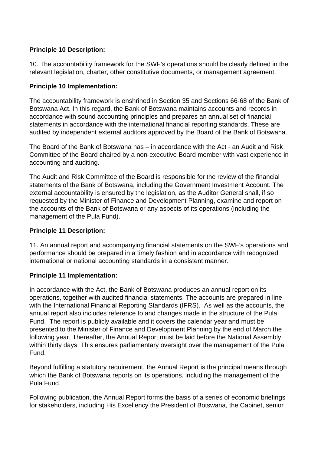# **Principle 10 Description:**

10. The accountability framework for the SWF's operations should be clearly defined in the relevant legislation, charter, other constitutive documents, or management agreement.

### **Principle 10 Implementation:**

The accountability framework is enshrined in Section 35 and Sections 66-68 of the Bank of Botswana Act. In this regard, the Bank of Botswana maintains accounts and records in accordance with sound accounting principles and prepares an annual set of financial statements in accordance with the international financial reporting standards. These are audited by independent external auditors approved by the Board of the Bank of Botswana.

The Board of the Bank of Botswana has – in accordance with the Act - an Audit and Risk Committee of the Board chaired by a non-executive Board member with vast experience in accounting and auditing.

The Audit and Risk Committee of the Board is responsible for the review of the financial statements of the Bank of Botswana, including the Government Investment Account. The external accountability is ensured by the legislation, as the Auditor General shall, if so requested by the Minister of Finance and Development Planning, examine and report on the accounts of the Bank of Botswana or any aspects of its operations (including the management of the Pula Fund).

#### **Principle 11 Description:**

11. An annual report and accompanying financial statements on the SWF's operations and performance should be prepared in a timely fashion and in accordance with recognized international or national accounting standards in a consistent manner.

#### **Principle 11 Implementation:**

In accordance with the Act, the Bank of Botswana produces an annual report on its operations, together with audited financial statements. The accounts are prepared in line with the International Financial Reporting Standards (IFRS). As well as the accounts, the annual report also includes reference to and changes made in the structure of the Pula Fund. The report is publicly available and it covers the calendar year and must be presented to the Minister of Finance and Development Planning by the end of March the following year. Thereafter, the Annual Report must be laid before the National Assembly within thirty days. This ensures parliamentary oversight over the management of the Pula Fund.

Beyond fulfilling a statutory requirement, the Annual Report is the principal means through which the Bank of Botswana reports on its operations, including the management of the Pula Fund.

Following publication, the Annual Report forms the basis of a series of economic briefings for stakeholders, including His Excellency the President of Botswana, the Cabinet, senior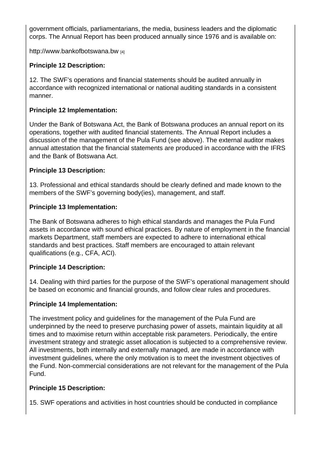government officials, parliamentarians, the media, business leaders and the diplomatic corps. The Annual Report has been produced annually since 1976 and is available on:

http://www.bankofbotswana.bw [4]

Principle 12 Description:

[12. The SWF's operations and f](http://www.bankofbotswana.bw/)inancial statements should be audited annually in accordance with recognized international or national auditing standards in a consistent manner.

Principle 12 Implementation:

Under the Bank of Botswana Act, the Bank of Botswana produces an annual report on its operations, together with audited financial statements. The Annual Report includes a discussion of the management of the Pula Fund (see above). The external auditor makes annual attestation that the financial statements are produced in accordance with the IFRS and the Bank of Botswana Act.

Principle 13 Description:

13. Professional and ethical standards should be clearly defined and made known to the members of the SWF's governing body(ies), management, and staff.

Principle 13 Implementation:

The Bank of Botswana adheres to high ethical standards and manages the Pula Fund assets in accordance with sound ethical practices. By nature of employment in the financial markets Department, staff members are expected to adhere to international ethical standards and best practices. Staff members are encouraged to attain relevant qualifications (e.g., CFA, ACI).

Principle 14 Description:

14. Dealing with third parties for the purpose of the SWF's operational management should be based on economic and financial grounds, and follow clear rules and procedures.

Principle 14 Implementation:

The investment policy and guidelines for the management of the Pula Fund are underpinned by the need to preserve purchasing power of assets, maintain liquidity at all times and to maximise return within acceptable risk parameters. Periodically, the entire investment strategy and strategic asset allocation is subjected to a comprehensive review. All investments, both internally and externally managed, are made in accordance with investment guidelines, where the only motivation is to meet the investment objectives of the Fund. Non-commercial considerations are not relevant for the management of the Pula Fund.

Principle 15 Description:

15. SWF operations and activities in host countries should be conducted in compliance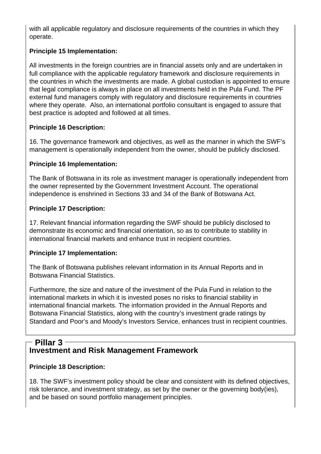with all applicable regulatory and disclosure requirements of the countries in which they operate.

# **Principle 15 Implementation:**

All investments in the foreign countries are in financial assets only and are undertaken in full compliance with the applicable regulatory framework and disclosure requirements in the countries in which the investments are made. A global custodian is appointed to ensure that legal compliance is always in place on all investments held in the Pula Fund. The PF external fund managers comply with regulatory and disclosure requirements in countries where they operate. Also, an international portfolio consultant is engaged to assure that best practice is adopted and followed at all times.

# **Principle 16 Description:**

16. The governance framework and objectives, as well as the manner in which the SWF's management is operationally independent from the owner, should be publicly disclosed.

### **Principle 16 Implementation:**

The Bank of Botswana in its role as investment manager is operationally independent from the owner represented by the Government Investment Account. The operational independence is enshrined in Sections 33 and 34 of the Bank of Botswana Act.

### **Principle 17 Description:**

17. Relevant financial information regarding the SWF should be publicly disclosed to demonstrate its economic and financial orientation, so as to contribute to stability in international financial markets and enhance trust in recipient countries.

#### **Principle 17 Implementation:**

The Bank of Botswana publishes relevant information in its Annual Reports and in Botswana Financial Statistics.

Furthermore, the size and nature of the investment of the Pula Fund in relation to the international markets in which it is invested poses no risks to financial stability in international financial markets. The information provided in the Annual Reports and Botswana Financial Statistics, along with the country's investment grade ratings by Standard and Poor's and Moody's Investors Service, enhances trust in recipient countries.

# **Investment and Risk Management Framework Pillar 3**

#### **Principle 18 Description:**

18. The SWF's investment policy should be clear and consistent with its defined objectives, risk tolerance, and investment strategy, as set by the owner or the governing body(ies), and be based on sound portfolio management principles.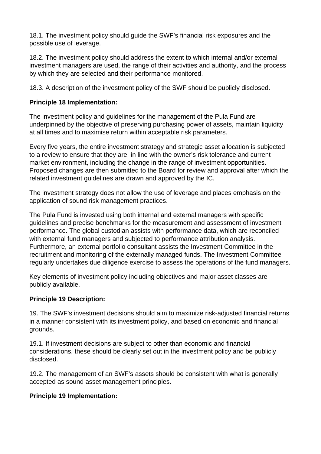18.1. The investment policy should guide the SWF's financial risk exposures and the possible use of leverage.

18.2. The investment policy should address the extent to which internal and/or external investment managers are used, the range of their activities and authority, and the process by which they are selected and their performance monitored.

18.3. A description of the investment policy of the SWF should be publicly disclosed.

# **Principle 18 Implementation:**

The investment policy and guidelines for the management of the Pula Fund are underpinned by the objective of preserving purchasing power of assets, maintain liquidity at all times and to maximise return within acceptable risk parameters.

Every five years, the entire investment strategy and strategic asset allocation is subjected to a review to ensure that they are in line with the owner's risk tolerance and current market environment, including the change in the range of investment opportunities. Proposed changes are then submitted to the Board for review and approval after which the related investment guidelines are drawn and approved by the IC.

The investment strategy does not allow the use of leverage and places emphasis on the application of sound risk management practices.

The Pula Fund is invested using both internal and external managers with specific guidelines and precise benchmarks for the measurement and assessment of investment performance. The global custodian assists with performance data, which are reconciled with external fund managers and subjected to performance attribution analysis. Furthermore, an external portfolio consultant assists the Investment Committee in the recruitment and monitoring of the externally managed funds. The Investment Committee regularly undertakes due diligence exercise to assess the operations of the fund managers.

Key elements of investment policy including objectives and major asset classes are publicly available.

# **Principle 19 Description:**

19. The SWF's investment decisions should aim to maximize risk-adjusted financial returns in a manner consistent with its investment policy, and based on economic and financial grounds.

19.1. If investment decisions are subject to other than economic and financial considerations, these should be clearly set out in the investment policy and be publicly disclosed.

19.2. The management of an SWF's assets should be consistent with what is generally accepted as sound asset management principles.

# **Principle 19 Implementation:**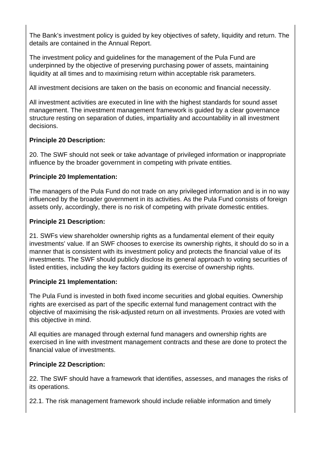The Bank's investment policy is guided by key objectives of safety, liquidity and return. The details are contained in the Annual Report.

The investment policy and guidelines for the management of the Pula Fund are underpinned by the objective of preserving purchasing power of assets, maintaining liquidity at all times and to maximising return within acceptable risk parameters.

All investment decisions are taken on the basis on economic and financial necessity.

All investment activities are executed in line with the highest standards for sound asset management. The investment management framework is guided by a clear governance structure resting on separation of duties, impartiality and accountability in all investment decisions.

# **Principle 20 Description:**

20. The SWF should not seek or take advantage of privileged information or inappropriate influence by the broader government in competing with private entities.

# **Principle 20 Implementation:**

The managers of the Pula Fund do not trade on any privileged information and is in no way influenced by the broader government in its activities. As the Pula Fund consists of foreign assets only, accordingly, there is no risk of competing with private domestic entities.

# **Principle 21 Description:**

21. SWFs view shareholder ownership rights as a fundamental element of their equity investments' value. If an SWF chooses to exercise its ownership rights, it should do so in a manner that is consistent with its investment policy and protects the financial value of its investments. The SWF should publicly disclose its general approach to voting securities of listed entities, including the key factors guiding its exercise of ownership rights.

# **Principle 21 Implementation:**

The Pula Fund is invested in both fixed income securities and global equities. Ownership rights are exercised as part of the specific external fund management contract with the objective of maximising the risk-adjusted return on all investments. Proxies are voted with this objective in mind.

All equities are managed through external fund managers and ownership rights are exercised in line with investment management contracts and these are done to protect the financial value of investments.

# **Principle 22 Description:**

22. The SWF should have a framework that identifies, assesses, and manages the risks of its operations.

22.1. The risk management framework should include reliable information and timely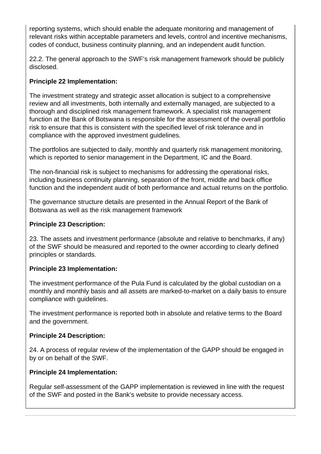reporting systems, which should enable the adequate monitoring and management of relevant risks within acceptable parameters and levels, control and incentive mechanisms, codes of conduct, business continuity planning, and an independent audit function.

22.2. The general approach to the SWF's risk management framework should be publicly disclosed.

# **Principle 22 Implementation:**

The investment strategy and strategic asset allocation is subject to a comprehensive review and all investments, both internally and externally managed, are subjected to a thorough and disciplined risk management framework. A specialist risk management function at the Bank of Botswana is responsible for the assessment of the overall portfolio risk to ensure that this is consistent with the specified level of risk tolerance and in compliance with the approved investment guidelines.

The portfolios are subjected to daily, monthly and quarterly risk management monitoring, which is reported to senior management in the Department, IC and the Board.

The non-financial risk is subject to mechanisms for addressing the operational risks, including business continuity planning, separation of the front, middle and back office function and the independent audit of both performance and actual returns on the portfolio.

The governance structure details are presented in the Annual Report of the Bank of Botswana as well as the risk management framework

#### **Principle 23 Description:**

23. The assets and investment performance (absolute and relative to benchmarks, if any) of the SWF should be measured and reported to the owner according to clearly defined principles or standards.

# **Principle 23 Implementation:**

The investment performance of the Pula Fund is calculated by the global custodian on a monthly and monthly basis and all assets are marked-to-market on a daily basis to ensure compliance with guidelines.

The investment performance is reported both in absolute and relative terms to the Board and the government.

#### **Principle 24 Description:**

24. A process of regular review of the implementation of the GAPP should be engaged in by or on behalf of the SWF.

#### **Principle 24 Implementation:**

Regular self-assessment of the GAPP implementation is reviewed in line with the request of the SWF and posted in the Bank's website to provide necessary access.